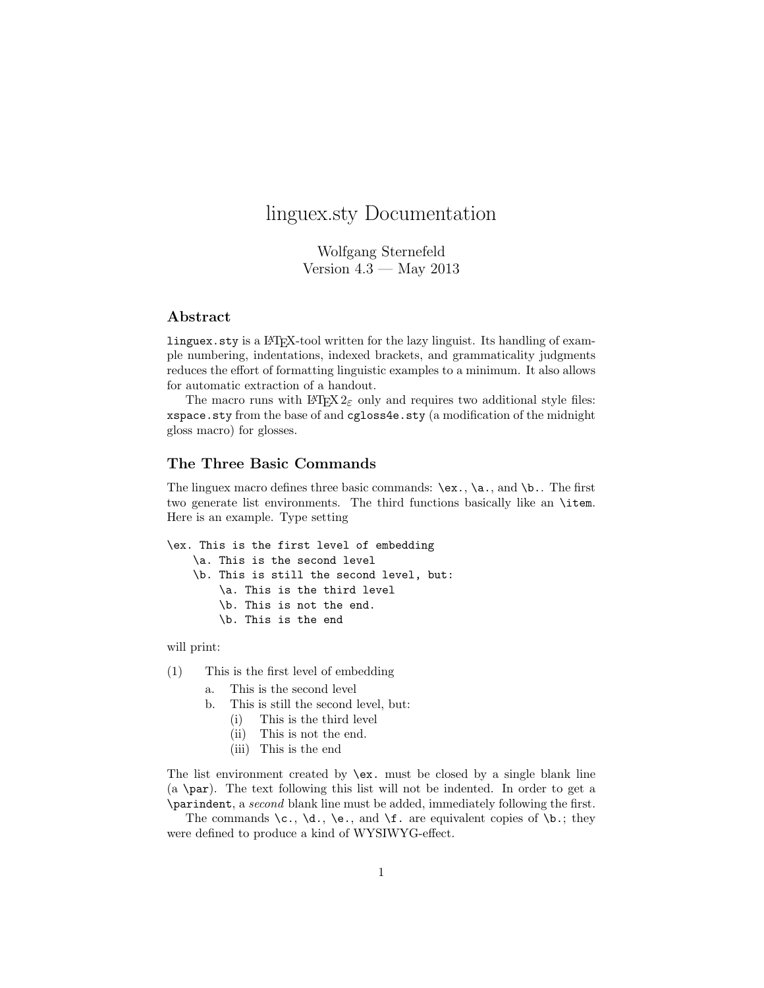# linguex.sty Documentation

Wolfgang Sternefeld Version  $4.3$  — May  $2013$ 

# Abstract

linguex.sty is a LATEX-tool written for the lazy linguist. Its handling of example numbering, indentations, indexed brackets, and grammaticality judgments reduces the effort of formatting linguistic examples to a minimum. It also allows for automatic extraction of a handout.

The macro runs with  $\text{LATEX } 2\varepsilon$  only and requires two additional style files: xspace.sty from the base of and cgloss4e.sty (a modification of the midnight gloss macro) for glosses.

### The Three Basic Commands

The linguex macro defines three basic commands:  $\ex.$ ,  $\aa.$ , and  $\ba.$  The first two generate list environments. The third functions basically like an \item. Here is an example. Type setting

```
\ex. This is the first level of embedding
    \a. This is the second level
    \b. This is still the second level, but:
        \a. This is the third level
        \b. This is not the end.
        \b. This is the end
```
will print:

- (1) This is the first level of embedding
	- a. This is the second level
	- b. This is still the second level, but:
		- (i) This is the third level
		- (ii) This is not the end.
		- (iii) This is the end

The list environment created by  $\exe$ . must be closed by a single blank line  $(a \perp par)$ . The text following this list will not be indented. In order to get a \parindent, a second blank line must be added, immediately following the first.

The commands  $\c, \d, \leq, \text{and } f$ . are equivalent copies of  $\b, \text{the}$ . were defined to produce a kind of WYSIWYG-effect.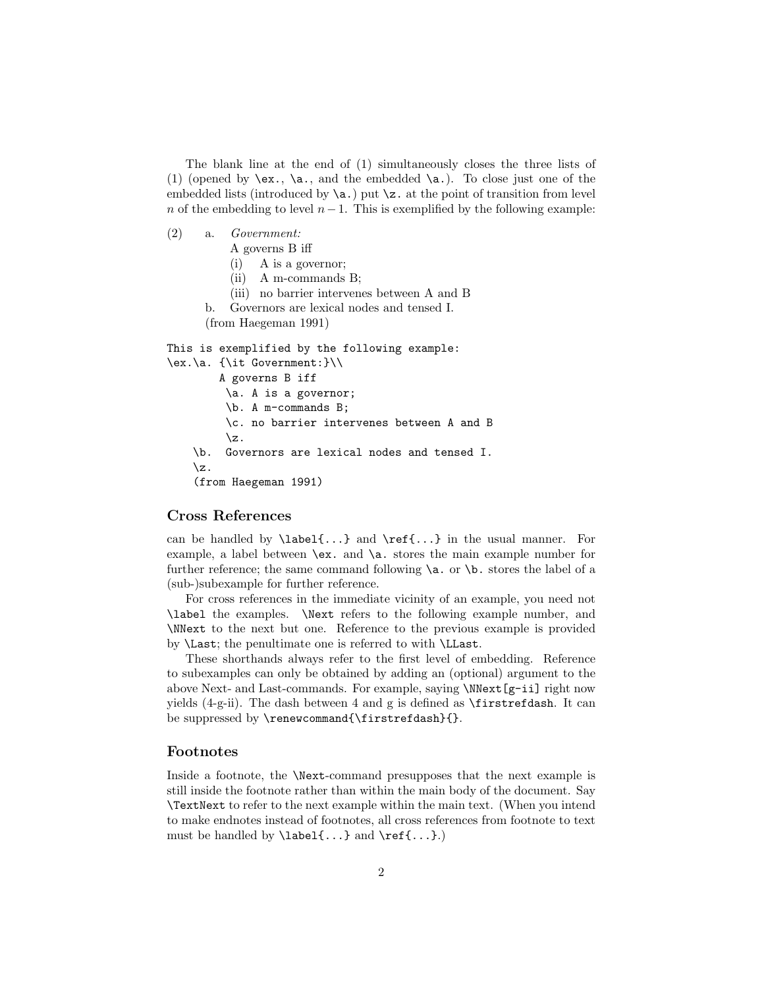The blank line at the end of (1) simultaneously closes the three lists of (1) (opened by  $\{ex., \langle a., \rangle\}$ , and the embedded  $\{a.\}$ . To close just one of the embedded lists (introduced by  $\a$ .) put  $\zeta$ . at the point of transition from level n of the embedding to level  $n-1$ . This is exemplified by the following example:

- (2) a. Government:
	- A governs B iff
	- (i) A is a governor;
	- (ii) A m-commands B;
	- (iii) no barrier intervenes between A and B
	- b. Governors are lexical nodes and tensed I.

(from Haegeman 1991)

```
This is exemplified by the following example:
\ex.\a. {\it Government:}\\
        A governs B iff
         \a. A is a governor;
         \b. A m-commands B;
         \c. no barrier intervenes between A and B
         \{z\}\b. Governors are lexical nodes and tensed I.
    \z.
    (from Haegeman 1991)
```
#### Cross References

can be handled by  $\label{eq:ref} \label{ref-1}$  and  $\ref{...}$  in the usual manner. For example, a label between \ex. and \a. stores the main example number for further reference; the same command following  $\a$ . or  $\b$ . stores the label of a (sub-)subexample for further reference.

For cross references in the immediate vicinity of an example, you need not \label the examples. \Next refers to the following example number, and \NNext to the next but one. Reference to the previous example is provided by \Last; the penultimate one is referred to with \LLast.

These shorthands always refer to the first level of embedding. Reference to subexamples can only be obtained by adding an (optional) argument to the above Next- and Last-commands. For example, saying \NNext[g-ii] right now yields  $(4-g\text{-ii})$ . The dash between 4 and g is defined as  $\frac{1}{3}$  restricted ash. It can be suppressed by \renewcommand{\firstrefdash}{}.

#### Footnotes

Inside a footnote, the \Next-command presupposes that the next example is still inside the footnote rather than within the main body of the document. Say \TextNext to refer to the next example within the main text. (When you intend to make endnotes instead of footnotes, all cross references from footnote to text must be handled by  $\label{eq:1} \Delta \setminus \text{1} \setminus \text{1} \setminus \text{1} \setminus \text{1} \setminus \text{1} \setminus \text{1} \setminus \text{1} \setminus \text{1} \setminus \text{1} \setminus \text{1} \setminus \text{1} \setminus \text{1} \setminus \text{1} \setminus \text{1} \setminus \text{1} \setminus \text{1} \setminus \text{1} \setminus \text{1} \setminus \text{1} \setminus \text{1} \setminus \text{1} \setminus \text{1} \setminus \text{1} \setminus \text{1}$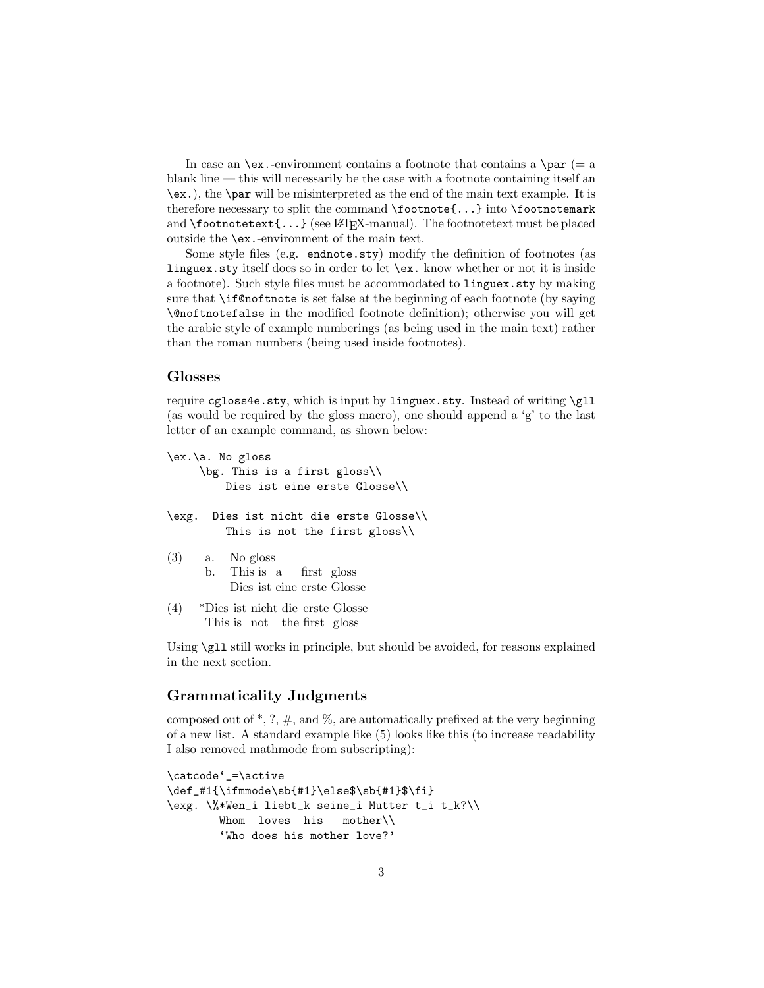In case an  $\exe$ .-environment contains a footnote that contains a  $\parrow$ par (= a blank line — this will necessarily be the case with a footnote containing itself an \ex.), the \par will be misinterpreted as the end of the main text example. It is therefore necessary to split the command \footnote{...} into \footnotemark and  $\text{footnotetext}\{\ldots\}$  (see LAT<sub>E</sub>X-manual). The footnotetext must be placed outside the \ex.-environment of the main text.

Some style files (e.g. endnote.sty) modify the definition of footnotes (as linguex.sty itself does so in order to let \ex. know whether or not it is inside a footnote). Such style files must be accommodated to linguex.sty by making sure that \if@noftnote is set false at the beginning of each footnote (by saying \@noftnotefalse in the modified footnote definition); otherwise you will get the arabic style of example numberings (as being used in the main text) rather than the roman numbers (being used inside footnotes).

#### Glosses

require cgloss4e.sty, which is input by linguex.sty. Instead of writing \gll (as would be required by the gloss macro), one should append a 'g' to the last letter of an example command, as shown below:

```
\ex.\a. No gloss
     \bg. This is a first gloss\\
         Dies ist eine erste Glosse\\
\exg. Dies ist nicht die erste Glosse\\
         This is not the first gloss\\
(3) a. No gloss
      b. This
is
a
          Dies
ist
eine
erste
Glosse
                      first
gloss
(4) *Dies
ist
nicht
die
erste
Glosse
```
This is not the first gloss

Using  $\gtrsim$  11 still works in principle, but should be avoided, for reasons explained in the next section.

## Grammaticality Judgments

composed out of  $\ast$ , ?,  $\#$ , and  $\%$ , are automatically prefixed at the very beginning of a new list. A standard example like (5) looks like this (to increase readability I also removed mathmode from subscripting):

```
\catcode'_=\active
\def_#1{\ifmmode\sb{#1}\else$\sb{#1}$\fi}
\exg. \%*Wen_i liebt_k seine_i Mutter t_i t_k?\\
       Whom loves his mother\\
        'Who does his mother love?'
```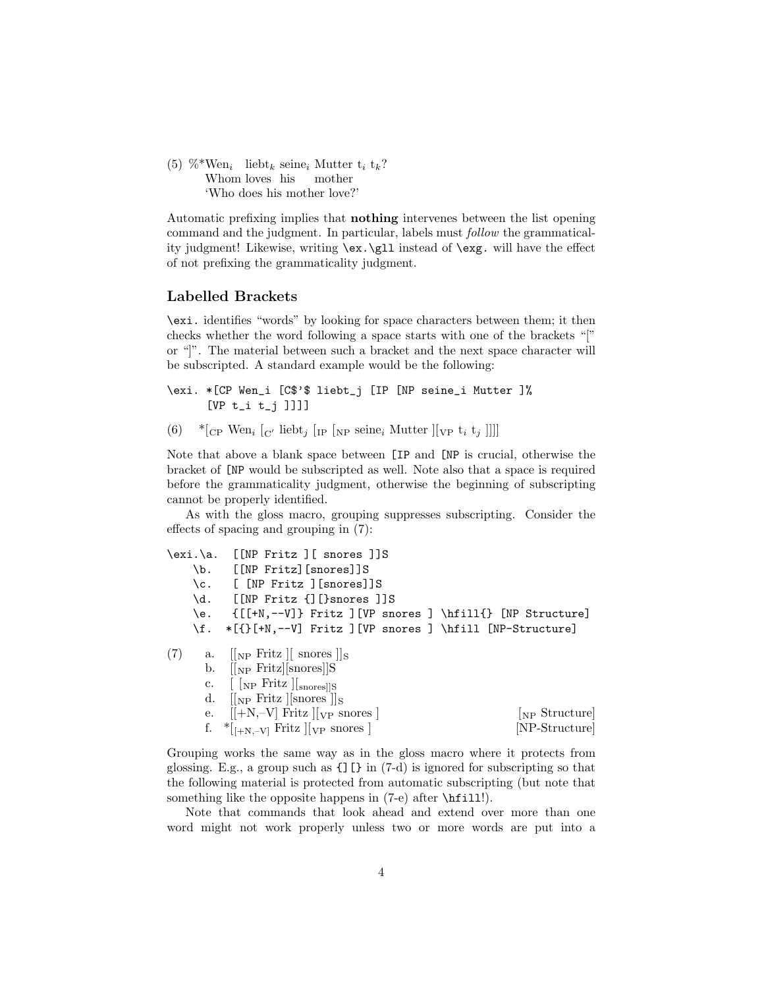(5) %\*Wen<sub>i</sub> liebt<sub>k</sub> seine<sub>i</sub> Mutter t<sub>i</sub> t<sub>k</sub>? Whom loves his mother 'Who does his mother love?'

Automatic prefixing implies that nothing intervenes between the list opening command and the judgment. In particular, labels must follow the grammaticality judgment! Likewise, writing \ex.\gll instead of \exg. will have the effect of not prefixing the grammaticality judgment.

#### Labelled Brackets

\exi. identifies "words" by looking for space characters between them; it then checks whether the word following a space starts with one of the brackets "[" or "]". The material between such a bracket and the next space character will be subscripted. A standard example would be the following:

```
\exi. *[CP Wen_i [C$'$ liebt_j [IP [NP seine_i Mutter ]%
      [VP t_i t_j ]]]]
```
(6) \* [CP Wen<sub>i</sub> [C' liebt<sub>j</sub> [IP [NP seine<sub>i</sub> Mutter ][<sub>VP</sub> t<sub>i</sub> t<sub>j</sub> ]]]]

Note that above a blank space between [IP and [NP is crucial, otherwise the bracket of [NP would be subscripted as well. Note also that a space is required before the grammaticality judgment, otherwise the beginning of subscripting cannot be properly identified.

As with the gloss macro, grouping suppresses subscripting. Consider the effects of spacing and grouping in (7):

|     | \exi.\a. | $[NP$ Fritz $]$ [ snores $]$ ]S                                                     |  |
|-----|----------|-------------------------------------------------------------------------------------|--|
|     |          | \b. [[NP Fritz][snores]]S                                                           |  |
|     |          | \c. [ [NP Fritz ][snores]]S                                                         |  |
|     |          | \d. [[NP Fritz {][}snores ]]S                                                       |  |
|     |          | $\{[\cdot\ N, -\nu]\}$ Fritz $[\nu\ N]$ snores $\Lambda$ $[\nu\ N]$ [NP Structure]  |  |
|     |          | \f. *[{}[+N,--V] Fritz ][VP snores ] \hfill [NP-Structure]                          |  |
| (7) |          | a. $\ $ <sub>NP</sub> Fritz $\ $ snores $\ $ <sub>S</sub>                           |  |
|     |          | b. $\left[\begin{bmatrix} \text{NP Fritz} \\ \text{snores} \end{bmatrix} \right]$ S |  |
|     |          | c. $\left[\right.$ $\left[\right.$ [NP Fritz ] $\left[\right.$ $\right]$ snores] [S |  |
|     |          | d. $\ \n\ _{NP}$ Fritz $\ \n\ _{S}$                                                 |  |
|     |          | e. $[+N,-V]$ Fritz $\vert_{VP}$ snores $\vert$<br>$N_{\rm PP}$ Structure            |  |
|     |          | f. *[ $_{[+N,-V]}$ Fritz ][ $_{VP}$ snores]<br>[NP-Structure]                       |  |
|     |          |                                                                                     |  |

Grouping works the same way as in the gloss macro where it protects from glossing. E.g., a group such as {][} in (7-d) is ignored for subscripting so that the following material is protected from automatic subscripting (but note that something like the opposite happens in (7-e) after  $\hbar i$ 11!).

Note that commands that look ahead and extend over more than one word might not work properly unless two or more words are put into a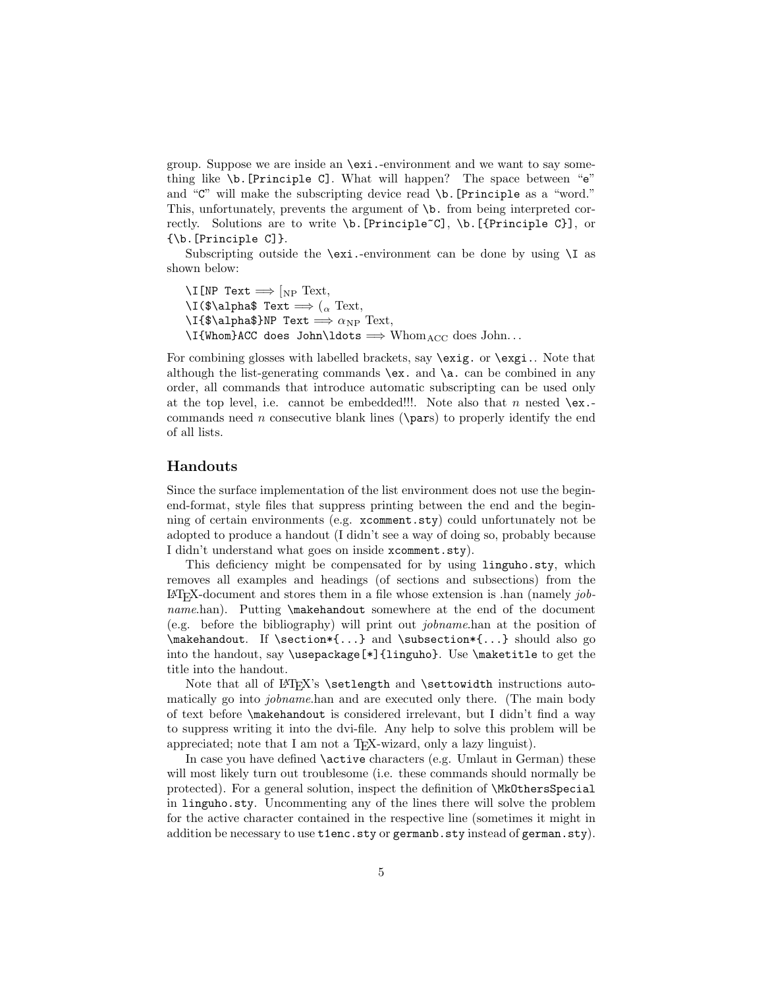group. Suppose we are inside an \exi.-environment and we want to say something like \b.[Principle C]. What will happen? The space between "e" and "C" will make the subscripting device read \b.[Principle as a "word." This, unfortunately, prevents the argument of \b. from being interpreted correctly. Solutions are to write  $\b{b}$ . [Principle~C],  $\b{}$ . [{Principle C}], or {\b.[Principle C]}.

Subscripting outside the  $\exists$ exi.-environment can be done by using  $\setminus$ I as shown below:

 $\Xi$ [NP Text  $\Longrightarrow$  [NP Text,  $\setminus$ I(\$\alpha\$ Text  $\Longrightarrow$  ( $_{\alpha}$  Text,  $\I{f\alpha\$  $NP$  Text  $\Longrightarrow \alpha_{NP}$  Text,  $\I{Whom}ACC$  does John $\ldots$  Whom $_{ACC}$  does John...

For combining glosses with labelled brackets, say  $\exe$ ig. or  $\exe$ i. Note that although the list-generating commands  $\ex$ . and  $\a$ . can be combined in any order, all commands that introduce automatic subscripting can be used only at the top level, i.e. cannot be embedded!!!. Note also that n nested  $\text{ex.-}$ commands need n consecutive blank lines ( $\n\parrow$ ) to properly identify the end of all lists.

## Handouts

Since the surface implementation of the list environment does not use the beginend-format, style files that suppress printing between the end and the beginning of certain environments (e.g. xcomment.sty) could unfortunately not be adopted to produce a handout (I didn't see a way of doing so, probably because I didn't understand what goes on inside xcomment.sty).

This deficiency might be compensated for by using linguho.sty, which removes all examples and headings (of sections and subsections) from the  $\Delta F$ FX-document and stores them in a file whose extension is .han (namely jobname.han). Putting \makehandout somewhere at the end of the document (e.g. before the bibliography) will print out jobname.han at the position of  $\mathbb{R}$ . If  $\setminus$   $\mathbb{R}$ ...} and  $\setminus$   $\setminus$   $\setminus$   $\setminus$   $\setminus$   $\setminus$   $\setminus$   $\setminus$   $\setminus$   $\setminus$   $\setminus$ into the handout, say \usepackage[\*]{linguho}. Use \maketitle to get the title into the handout.

Note that all of  $\&$ T<sub>F</sub>X's \setlength and \settowidth instructions automatically go into jobname.han and are executed only there. (The main body of text before \makehandout is considered irrelevant, but I didn't find a way to suppress writing it into the dvi-file. Any help to solve this problem will be appreciated; note that I am not a T<sub>E</sub>X-wizard, only a lazy linguist).

In case you have defined \active characters (e.g. Umlaut in German) these will most likely turn out troublesome (i.e. these commands should normally be protected). For a general solution, inspect the definition of \MkOthersSpecial in linguho.sty. Uncommenting any of the lines there will solve the problem for the active character contained in the respective line (sometimes it might in addition be necessary to use t1enc.sty or germanb.sty instead of german.sty).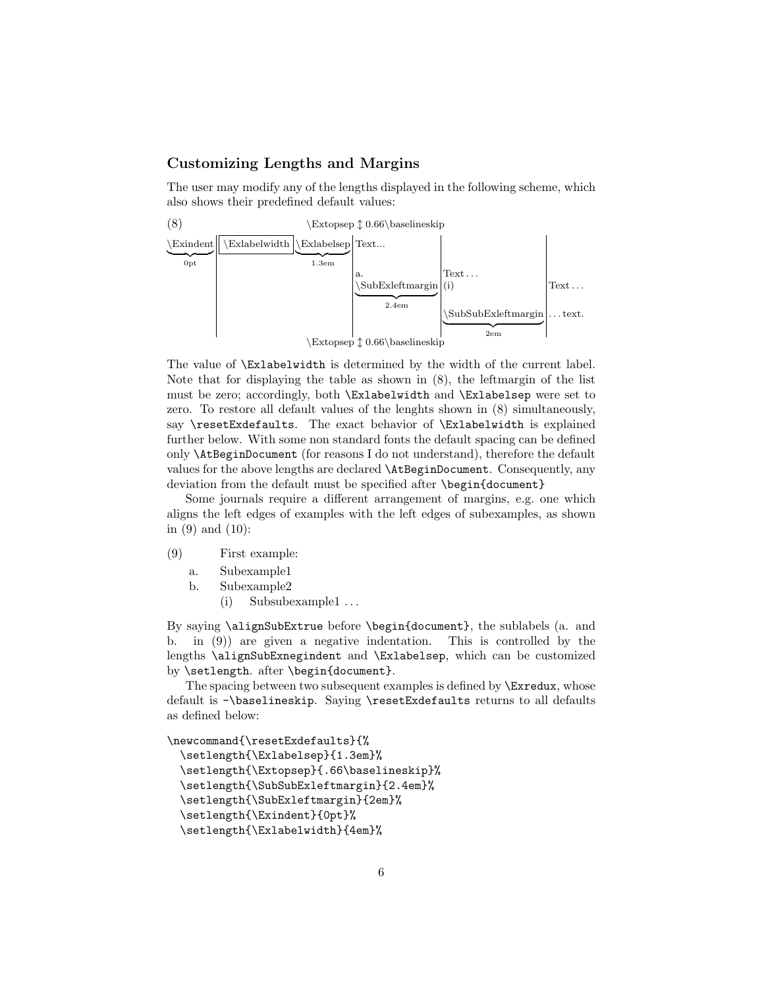## Customizing Lengths and Margins

The user may modify any of the lengths displayed in the following scheme, which also shows their predefined default values:



The value of \Exlabelwidth is determined by the width of the current label. Note that for displaying the table as shown in (8), the leftmargin of the list must be zero; accordingly, both \Exlabelwidth and \Exlabelsep were set to zero. To restore all default values of the lenghts shown in (8) simultaneously, say \resetExdefaults. The exact behavior of \Exlabelwidth is explained further below. With some non standard fonts the default spacing can be defined only \AtBeginDocument (for reasons I do not understand), therefore the default values for the above lengths are declared \AtBeginDocument. Consequently, any deviation from the default must be specified after **\begin{document}** 

Some journals require a different arrangement of margins, e.g. one which aligns the left edges of examples with the left edges of subexamples, as shown in (9) and (10):

- (9) First example:
	- a. Subexample1
	- b. Subexample2
		- (i) Subsubexample1 . . .

By saying \alignSubExtrue before \begin{document}, the sublabels (a. and b. in (9)) are given a negative indentation. This is controlled by the lengths \alignSubExnegindent and \Exlabelsep, which can be customized by \setlength. after \begin{document}.

The spacing between two subsequent examples is defined by \Exredux, whose default is -\baselineskip. Saying \resetExdefaults returns to all defaults as defined below:

```
\newcommand{\resetExdefaults}{%
 \setlength{\Exlabelsep}{1.3em}%
 \setlength{\Extopsep}{.66\baselineskip}%
 \setlength{\SubSubExleftmargin}{2.4em}%
 \setlength{\SubExleftmargin}{2em}%
 \setlength{\Exindent}{0pt}%
 \setlength{\Exlabelwidth}{4em}%
```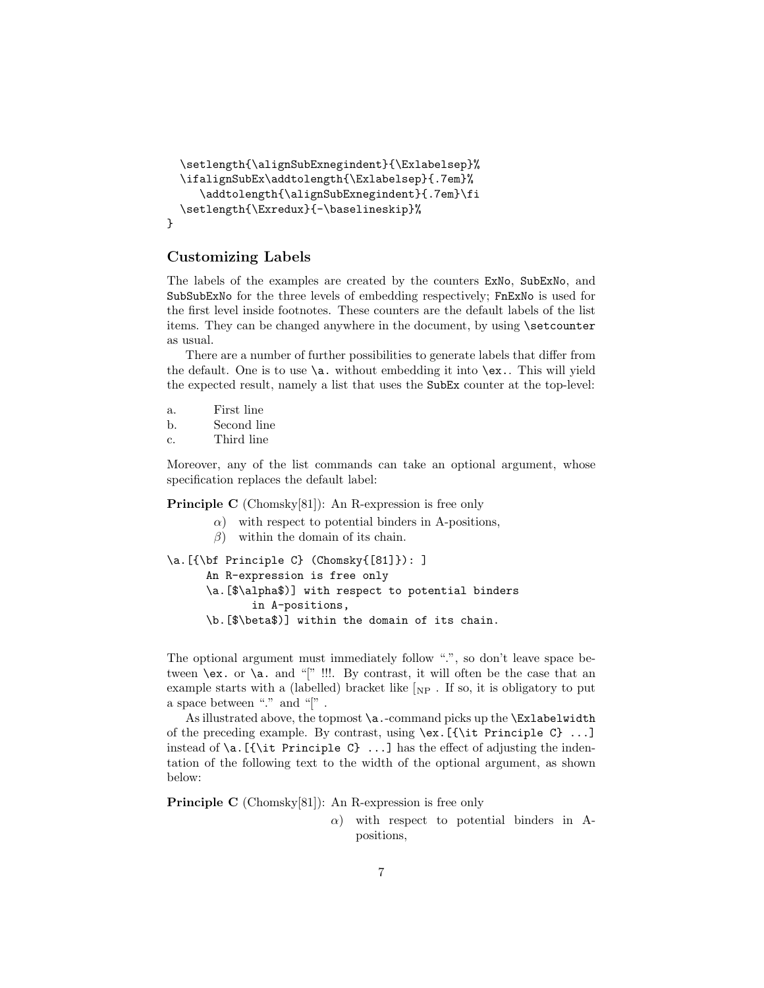```
\setlength{\alignSubExnegindent}{\Exlabelsep}%
  \ifalignSubEx\addtolength{\Exlabelsep}{.7em}%
     \addtolength{\alignSubExnegindent}{.7em}\fi
  \setlength{\Exredux}{-\baselineskip}%
}
```
## Customizing Labels

The labels of the examples are created by the counters ExNo, SubExNo, and SubSubExNo for the three levels of embedding respectively; FnExNo is used for the first level inside footnotes. These counters are the default labels of the list items. They can be changed anywhere in the document, by using \setcounter as usual.

There are a number of further possibilities to generate labels that differ from the default. One is to use \a. without embedding it into \ex.. This will yield the expected result, namely a list that uses the SubEx counter at the top-level:

- a. First line
- b. Second line
- c. Third line

Moreover, any of the list commands can take an optional argument, whose specification replaces the default label:

Principle C (Chomsky[81]): An R-expression is free only

- $\alpha$ ) with respect to potential binders in A-positions,
- $\beta$ ) within the domain of its chain.

```
\a.[{\bf Principle C} (Chomsky{[81]}): ]
      An R-expression is free only
```

```
\a.[$\alpha$)] with respect to potential binders
       in A-positions,
```
\b.[\$\beta\$)] within the domain of its chain.

The optional argument must immediately follow ".", so don't leave space between  $\chi$ ex. or  $\chi$ a. and "[" !!!. By contrast, it will often be the case that an example starts with a (labelled) bracket like  $\lceil_{NP}$ . If so, it is obligatory to put a space between "." and "[".

As illustrated above, the topmost \a.-command picks up the \Exlabelwidth of the preceding example. By contrast, using \ex.[{\it Principle C} ...] instead of  $\a$ . [{ $\it \iota$  Principle C} ...] has the effect of adjusting the indentation of the following text to the width of the optional argument, as shown below:

Principle C (Chomsky[81]): An R-expression is free only

 $\alpha$ ) with respect to potential binders in Apositions,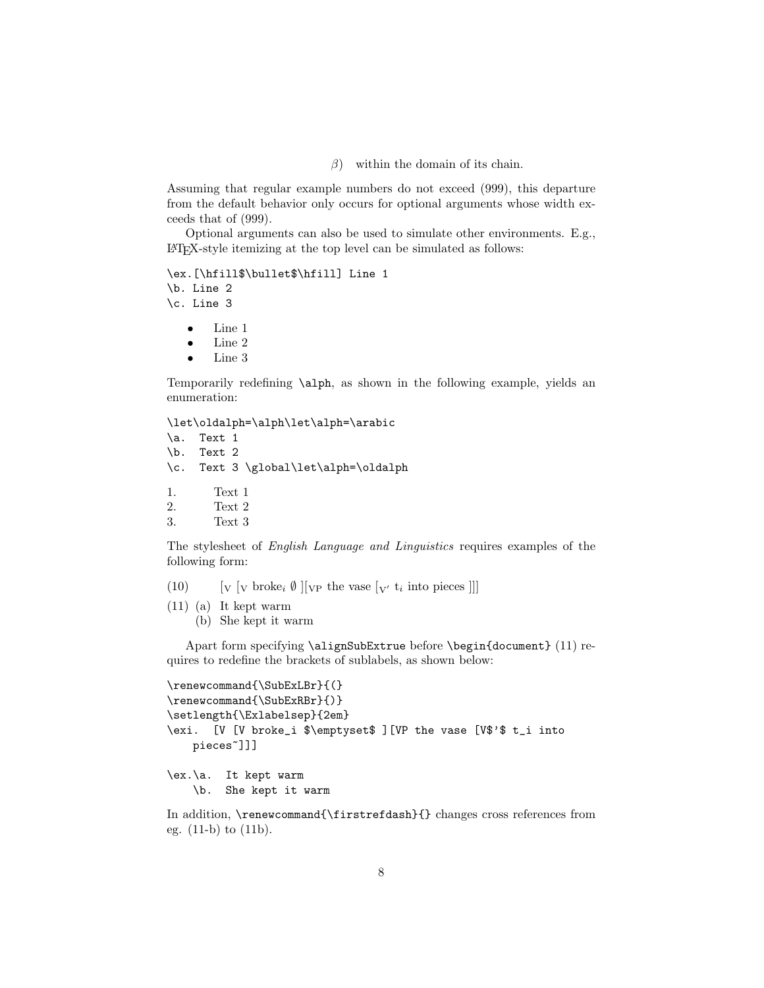$\beta$ ) within the domain of its chain.

Assuming that regular example numbers do not exceed (999), this departure from the default behavior only occurs for optional arguments whose width exceeds that of (999).

Optional arguments can also be used to simulate other environments. E.g., LATEX-style itemizing at the top level can be simulated as follows:

\ex.[\hfill\$\bullet\$\hfill] Line 1 \b. Line 2 \c. Line 3

- Line 1
- Line 2
- Line 3

Temporarily redefining \alph, as shown in the following example, yields an enumeration:

\let\oldalph=\alph\let\alph=\arabic

\a. Text 1 \b. Text 2 \c. Text 3 \global\let\alph=\oldalph 1. Text 1 2. Text 2

```
3. Text 3
```
The stylesheet of English Language and Linguistics requires examples of the following form:

- (10)  $\left[ \nabla \left[ \nabla \Phi \right] \nabla \Phi \right] \left[ \nabla \Phi \Phi \Phi \right] \nabla \Phi \Phi \Phi \Phi \Phi \Phi \Phi \Phi \Phi$
- (11) (a) It kept warm
	- (b) She kept it warm

Apart form specifying \alignSubExtrue before \begin{document} (11) requires to redefine the brackets of sublabels, as shown below:

```
\renewcommand{\SubExLBr}{(}
\renewcommand{\SubExRBr}{)}
\setlength{\Exlabelsep}{2em}
\exi. [V [V broke_i $\emptyset$ ][VP the vase [V$'$ t_i into
   pieces~]]]
\ex.\a. It kept warm
    \b. She kept it warm
```
In addition, \renewcommand{\firstrefdash}{} changes cross references from eg. (11-b) to (11b).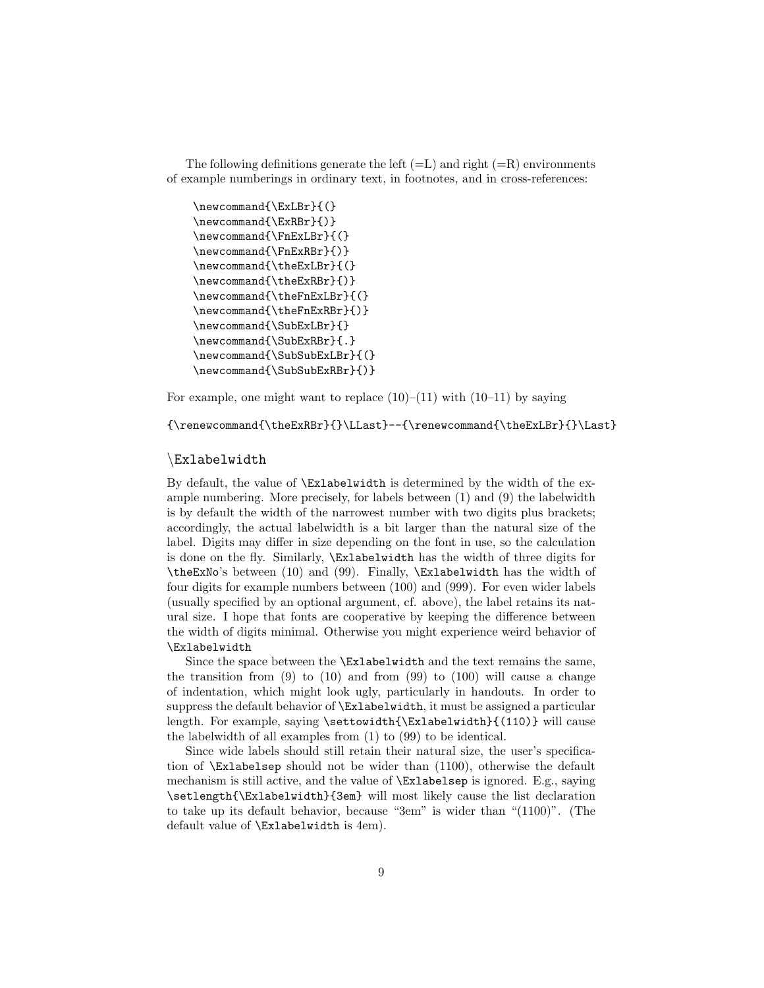The following definitions generate the left  $(=L)$  and right  $(=R)$  environments of example numberings in ordinary text, in footnotes, and in cross-references:

```
\newcommand{\ExLBr}{(}
\newcommand{\ExRBr}{)}
\newcommand{\FnExLBr}{(}
\newcommand{\FnExRBr}{)}
\newcommand{\theExLBr}{(}
\newcommand{\theExRBr}{)}
\newcommand{\theFnExLBr}{(}
\newcommand{\theFnExRBr}{)}
\newcommand{\SubExLBr}{}
\newcommand{\SubExRBr}{.}
\newcommand{\SubSubExLBr}{(}
\newcommand{\SubSubExRBr}{)}
```
For example, one might want to replace  $(10)$ – $(11)$  with  $(10-11)$  by saying

 $\verb|{* the ExRBr}{\LLast}--\{\renewcommand{\th{theExLBr}{\Last}\}|\ll\verb|{+|}{\Rs}$ 

#### \Exlabelwidth

By default, the value of \Exlabelwidth is determined by the width of the example numbering. More precisely, for labels between (1) and (9) the labelwidth is by default the width of the narrowest number with two digits plus brackets; accordingly, the actual labelwidth is a bit larger than the natural size of the label. Digits may differ in size depending on the font in use, so the calculation is done on the fly. Similarly, \Exlabelwidth has the width of three digits for \theExNo's between (10) and (99). Finally, \Exlabelwidth has the width of four digits for example numbers between (100) and (999). For even wider labels (usually specified by an optional argument, cf. above), the label retains its natural size. I hope that fonts are cooperative by keeping the difference between the width of digits minimal. Otherwise you might experience weird behavior of \Exlabelwidth

Since the space between the \Exlabelwidth and the text remains the same, the transition from  $(9)$  to  $(10)$  and from  $(99)$  to  $(100)$  will cause a change of indentation, which might look ugly, particularly in handouts. In order to suppress the default behavior of \Exlabelwidth, it must be assigned a particular length. For example, saying \settowidth{\Exlabelwidth}{(110)} will cause the labelwidth of all examples from (1) to (99) to be identical.

Since wide labels should still retain their natural size, the user's specification of \Exlabelsep should not be wider than (1100), otherwise the default mechanism is still active, and the value of \Exlabelsep is ignored. E.g., saying \setlength{\Exlabelwidth}{3em} will most likely cause the list declaration to take up its default behavior, because "3em" is wider than "(1100)". (The default value of \Exlabelwidth is 4em).